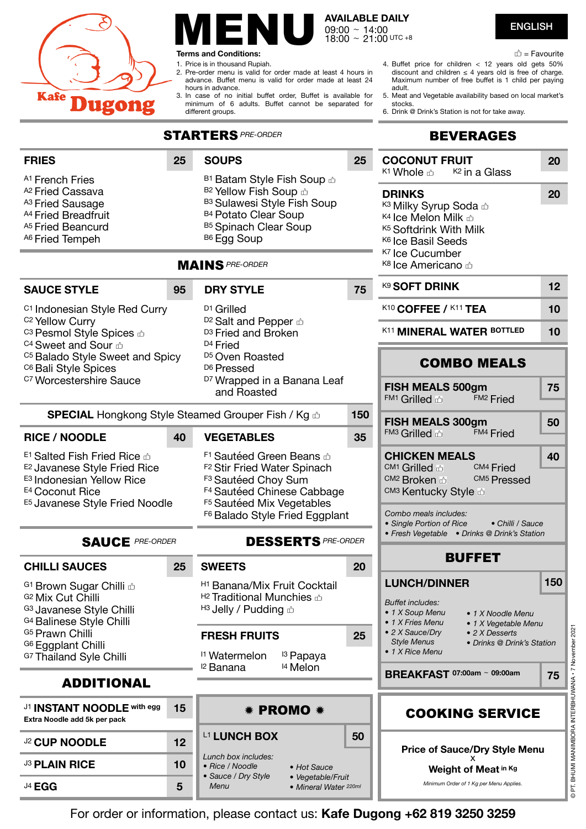

# $\blacksquare$   $\blacksquare$   $\blacksquare$   $\blacksquare$   $\blacksquare$   $\blacksquare$   $\blacksquare$   $\blacksquare$   $\blacksquare$   $\blacksquare$   $\blacksquare$   $\blacksquare$   $\blacksquare$   $\blacksquare$   $\blacksquare$   $\blacksquare$   $\blacksquare$   $\blacksquare$   $\blacksquare$   $\blacksquare$   $\blacksquare$   $\blacksquare$   $\blacksquare$   $\blacksquare$   $\blacksquare$   $\blacksquare$   $\blacksquare$   $\blacksquare$   $\blacksquare$   $\blacksquare$   $\blacksquare$   $\blacks$

**Terms and Conditions:** 

1. Price is in thousand Rupiah.

- 2. Pre-order menu is valid for order made at least 4 hours in advance. Buffet menu is valid for order made at least 24 hours in advance.
- 3. In case of no initial buffet order, Buffet is available for minimum of 6 adults. Buffet cannot be separated for different groups.

**AVAILABLE DAILY**  09:00 ∼ 14:00 18:00 ∼ 21:00 UTC +8

 $\mathbb{D}$  = Favourite

- 4. Buffet price for children < 12 years old gets 50% discount and children  $\leq 4$  years old is free of charge. Maximum number of free buffet is 1 child per paying adult.
- 5. Meat and Vegetable availability based on local market's stocks.
- 6. Drink @ Drink's Station is not for take away.

## **REVERAGES**

| <b>STARTERS PRE-ORDER</b>                                                                                                                                                         |    |                                                                                                                                                                                                                 |     | <b>BEVERAGES</b>                                                                                                                                                                                                                   |     |  |
|-----------------------------------------------------------------------------------------------------------------------------------------------------------------------------------|----|-----------------------------------------------------------------------------------------------------------------------------------------------------------------------------------------------------------------|-----|------------------------------------------------------------------------------------------------------------------------------------------------------------------------------------------------------------------------------------|-----|--|
| <b>FRIES</b><br>A <sub>1</sub> French Fries                                                                                                                                       | 25 | <b>SOUPS</b><br><sup>B1</sup> Batam Style Fish Soup <sup>A</sup>                                                                                                                                                | 25  | <b>COCONUT FRUIT</b><br>K1 Whole <b>∆</b><br><sup>K2</sup> in a Glass                                                                                                                                                              | 20  |  |
| A <sub>2</sub> Fried Cassava<br>A <sub>3</sub> Fried Sausage<br>A4 Fried Breadfruit<br>A <sub>5</sub> Fried Beancurd<br>A6 Fried Tempeh                                           |    | B <sub>2</sub> Yellow Fish Soup ca<br><sup>B3</sup> Sulawesi Style Fish Soup<br>B4 Potato Clear Soup<br>B5 Spinach Clear Soup<br>B <sub>6</sub> Egg Soup                                                        |     | <b>DRINKS</b><br>K3 Milky Syrup Soda co<br>K <sub>4</sub> Ice Melon Milk $\triangle$<br>K <sub>5</sub> Softdrink With Milk<br>K <sub>6</sub> Ice Basil Seeds                                                                       | 20  |  |
|                                                                                                                                                                                   |    | <b>MAINS PRE-ORDER</b>                                                                                                                                                                                          |     | <sup>K7</sup> Ice Cucumber<br>K8 Ice Americano co                                                                                                                                                                                  |     |  |
| <b>SAUCE STYLE</b>                                                                                                                                                                | 95 | <b>DRY STYLE</b>                                                                                                                                                                                                | 75  | K9 SOFT DRINK                                                                                                                                                                                                                      | 12  |  |
| <sup>C1</sup> Indonesian Style Red Curry<br><sup>C2</sup> Yellow Curry                                                                                                            |    | D <sub>1</sub> Grilled<br>D <sub>2</sub> Salt and Pepper com                                                                                                                                                    |     | K10 COFFEE / K11 TEA                                                                                                                                                                                                               | 10  |  |
| <sup>C3</sup> Pesmol Style Spices <sup>c3</sup><br>C4 Sweet and Sour com                                                                                                          |    | D <sub>3</sub> Fried and Broken<br>D <sub>4</sub> Fried                                                                                                                                                         |     | K11 MINERAL WATER BOTTLED                                                                                                                                                                                                          | 10  |  |
| C <sub>5</sub> Balado Style Sweet and Spicy<br>C <sub>6</sub> Bali Style Spices                                                                                                   |    | D <sub>5</sub> Oven Roasted<br>D <sub>6</sub> Pressed                                                                                                                                                           |     | <b>COMBO MEALS</b>                                                                                                                                                                                                                 |     |  |
| <sup>C7</sup> Worcestershire Sauce                                                                                                                                                |    | D7 Wrapped in a Banana Leaf<br>and Roasted                                                                                                                                                                      |     | FISH MEALS 500gm<br>FM1 Grilled &<br><b>FM2</b> Fried                                                                                                                                                                              | 75  |  |
| SPECIAL Hongkong Style Steamed Grouper Fish / Kg &                                                                                                                                |    |                                                                                                                                                                                                                 | 150 | FISH MEALS 300gm                                                                                                                                                                                                                   | 50  |  |
| <b>RICE / NOODLE</b>                                                                                                                                                              | 40 | <b>VEGETABLES</b>                                                                                                                                                                                               | 35  | FM <sub>3</sub> Grilled <sup>2</sup><br><b>FM4 Fried</b>                                                                                                                                                                           |     |  |
| E <sub>1</sub> Salted Fish Fried Rice &<br>E <sub>2</sub> Javanese Style Fried Rice<br>E <sub>3</sub> Indonesian Yellow Rice<br>E4 Coconut Rice<br>E5 Javanese Style Fried Noodle |    | F1 Sautéed Green Beans &<br>F <sub>2</sub> Stir Fried Water Spinach<br>F <sub>3</sub> Sautéed Choy Sum<br>F4 Sautéed Chinese Cabbage<br>F <sub>5</sub> Sautéed Mix Vegetables<br>F6 Balado Style Fried Eggplant |     | <b>CHICKEN MEALS</b><br>CM <sub>1</sub> Grilled &<br>CM <sub>4</sub> Fried<br>CM <sub>2</sub> Broken &<br>CM <sub>5</sub> Pressed<br>CM3 Kentucky Style &<br>Combo meals includes:<br>• Single Portion of Rice<br>• Chilli / Sauce | 40  |  |
| <b>SAUCE PRE-ORDER</b>                                                                                                                                                            |    | <b>DESSERTS PRE-ORDER</b>                                                                                                                                                                                       |     | • Fresh Vegetable • Drinks @ Drink's Station                                                                                                                                                                                       |     |  |
| <b>CHILLI SAUCES</b>                                                                                                                                                              | 25 | <b>SWEETS</b>                                                                                                                                                                                                   | 20  | <b>BUFFET</b>                                                                                                                                                                                                                      |     |  |
| G <sub>1</sub> Brown Sugar Chilli co<br>G <sub>2</sub> Mix Cut Chilli<br><sup>G3</sup> Javanese Style Chilli<br><sup>G4</sup> Balinese Style Chilli                               |    | <sup>H1</sup> Banana/Mix Fruit Cocktail<br>H <sub>2</sub> Traditional Munchies $\triangle$<br>$H_3$ Jelly / Pudding $\triangle$                                                                                 |     | <b>LUNCH/DINNER</b><br><b>Buffet includes:</b><br>• 1 X Soup Menu<br>• 1 X Noodle Menu<br>• 1 X Fries Menu<br>• 1 X Vegetable Menu                                                                                                 | 150 |  |
| <sup>G5</sup> Prawn Chilli<br>G6 Eggplant Chilli<br>G7 Thailand Syle Chilli                                                                                                       |    | <b>FRESH FRUITS</b><br><sup>11</sup> Watermelon<br><sup>13</sup> Papaya                                                                                                                                         | 25  | • 2 X Sauce/Dry<br>• 2 X Desserts<br><b>Style Menus</b><br>• Drinks @ Drink's Station<br>• 1 X Rice Menu                                                                                                                           |     |  |
| <b>ADDITIONAL</b>                                                                                                                                                                 |    | <sup>14</sup> Melon<br><sup>12</sup> Banana                                                                                                                                                                     |     | BREAKFAST 07:00am ~ 09:00am                                                                                                                                                                                                        | 75  |  |
| J1 <b>INSTANT NOODLE</b> with egg                                                                                                                                                 | 15 | * PROMO *                                                                                                                                                                                                       |     |                                                                                                                                                                                                                                    |     |  |
| Extra Noodle add 5k per pack                                                                                                                                                      |    |                                                                                                                                                                                                                 |     | <b>COOKING SERVICE</b>                                                                                                                                                                                                             |     |  |
| <b>J2 CUP NOODLE</b>                                                                                                                                                              | 12 | L1 LUNCH BOX<br>Lunch box includes:                                                                                                                                                                             | 50  | <b>Price of Sauce/Dry Style Menu</b>                                                                                                                                                                                               |     |  |
| <b>J3 PLAIN RICE</b>                                                                                                                                                              | 10 | • Rice / Noodle<br>• Hot Sauce<br>· Sauce / Dry Style<br>• Vegetable/Fruit                                                                                                                                      |     | Weight of Meat in Kg                                                                                                                                                                                                               |     |  |
| <sup>J4</sup> EGG                                                                                                                                                                 | 5  | Menu<br>• Mineral Water 220ml                                                                                                                                                                                   |     | Minimum Order of 1 Kg per Menu Applies.                                                                                                                                                                                            |     |  |

For order or information, please contact us: **Kafe Dugong +62 819 3250 3259**